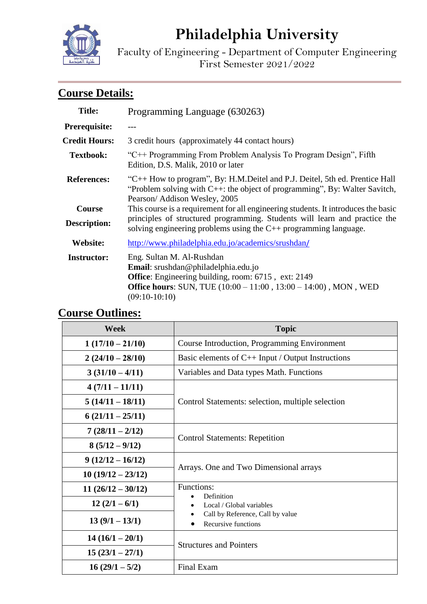# **Philadelphia University**

Faculty of Engineering - Department of Computer Engineering First Semester 2021/2022

# **Course Details:**

| <b>Title:</b>                        | Programming Language (630263)                                                                                                                                                                                                          |  |  |  |
|--------------------------------------|----------------------------------------------------------------------------------------------------------------------------------------------------------------------------------------------------------------------------------------|--|--|--|
| Prerequisite:                        |                                                                                                                                                                                                                                        |  |  |  |
| <b>Credit Hours:</b>                 | 3 credit hours (approximately 44 contact hours)                                                                                                                                                                                        |  |  |  |
| <b>Textbook:</b>                     | "C++ Programming From Problem Analysis To Program Design", Fifth<br>Edition, D.S. Malik, 2010 or later                                                                                                                                 |  |  |  |
| <b>References:</b>                   | "C++ How to program", By: H.M.Deitel and P.J. Deitel, 5th ed. Prentice Hall<br>"Problem solving with $C++$ : the object of programming", By: Walter Savitch,<br>Pearson/Addison Wesley, 2005                                           |  |  |  |
| <b>Course</b><br><b>Description:</b> | This course is a requirement for all engineering students. It introduces the basic<br>principles of structured programming. Students will learn and practice the<br>solving engineering problems using the $C++$ programming language. |  |  |  |
| Website:                             | http://www.philadelphia.edu.jo/academics/srushdan/                                                                                                                                                                                     |  |  |  |
| <b>Instructor:</b>                   | Eng. Sultan M. Al-Rushdan<br>Email: srushdan@philadelphia.edu.jo<br><b>Office:</b> Engineering building, room: 6715, ext: 2149<br><b>Office hours:</b> SUN, TUE (10:00 – 11:00, 13:00 – 14:00), MON, WED<br>$(09:10-10:10)$            |  |  |  |

# **Course Outlines:**

| <b>Week</b>         | <b>Topic</b>                                                                                                    |  |  |
|---------------------|-----------------------------------------------------------------------------------------------------------------|--|--|
| $1(17/10-21/10)$    | Course Introduction, Programming Environment                                                                    |  |  |
| $2(24/10-28/10)$    | Basic elements of $C_{++}$ Input / Output Instructions                                                          |  |  |
| $3(31/10-4/11)$     | Variables and Data types Math. Functions                                                                        |  |  |
| $4(7/11-11/11)$     |                                                                                                                 |  |  |
| $5(14/11 - 18/11)$  | Control Statements: selection, multiple selection                                                               |  |  |
| $6(21/11-25/11)$    |                                                                                                                 |  |  |
| $7(28/11-2/12)$     | <b>Control Statements: Repetition</b>                                                                           |  |  |
| $8(5/12-9/12)$      |                                                                                                                 |  |  |
| $9(12/12 - 16/12)$  |                                                                                                                 |  |  |
| $10(19/12 - 23/12)$ | Arrays. One and Two Dimensional arrays                                                                          |  |  |
| $11(26/12-30/12)$   | Functions:<br>Definition<br>Local / Global variables<br>Call by Reference, Call by value<br>Recursive functions |  |  |
| $12(2/1-6/1)$       |                                                                                                                 |  |  |
| $13(9/1-13/1)$      |                                                                                                                 |  |  |
| $14(16/1-20/1)$     | <b>Structures and Pointers</b>                                                                                  |  |  |
| $15(23/1-27/1)$     |                                                                                                                 |  |  |
| $16(29/1 - 5/2)$    | <b>Final Exam</b>                                                                                               |  |  |